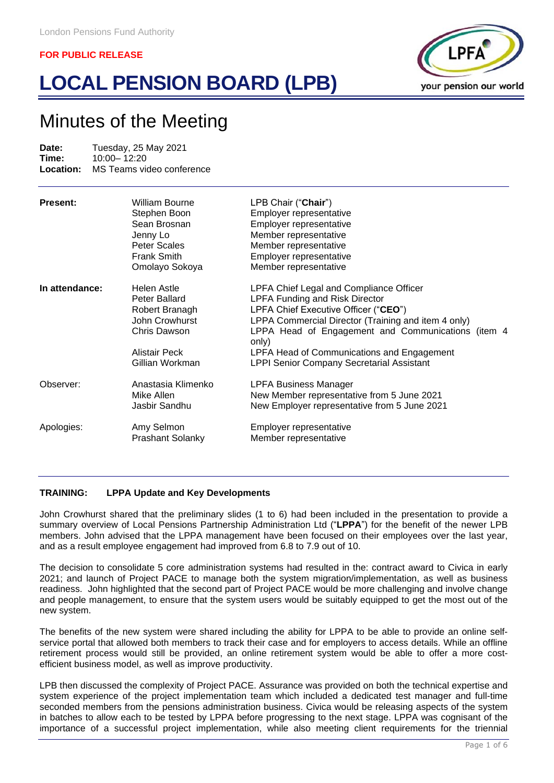# **LOCAL PENSION BOARD (LPB)**



# Minutes of the Meeting

**Date:** Tuesday, 25 May 2021<br> **Time:** 10:00 - 12:20 **Time:** 10:00-12:20<br> **Location:** MS Teams vio **MS Teams video conference** 

| Present:       | William Bourne<br>Stephen Boon<br>Sean Brosnan<br>Jenny Lo<br>Peter Scales<br>Frank Smith<br>Omolayo Sokoya                 | LPB Chair ("Chair")<br>Employer representative<br>Employer representative<br>Member representative<br>Member representative<br>Employer representative<br>Member representative                                                                                                                                                                  |
|----------------|-----------------------------------------------------------------------------------------------------------------------------|--------------------------------------------------------------------------------------------------------------------------------------------------------------------------------------------------------------------------------------------------------------------------------------------------------------------------------------------------|
| In attendance: | <b>Helen Astle</b><br>Peter Ballard<br>Robert Branagh<br>John Crowhurst<br>Chris Dawson<br>Alistair Peck<br>Gillian Workman | LPFA Chief Legal and Compliance Officer<br><b>LPFA Funding and Risk Director</b><br>LPFA Chief Executive Officer ("CEO")<br>LPPA Commercial Director (Training and item 4 only)<br>LPPA Head of Engagement and Communications (item 4<br>only)<br>LPFA Head of Communications and Engagement<br><b>LPPI Senior Company Secretarial Assistant</b> |
| Observer:      | Anastasia Klimenko<br>Mike Allen<br>Jasbir Sandhu                                                                           | <b>LPFA Business Manager</b><br>New Member representative from 5 June 2021<br>New Employer representative from 5 June 2021                                                                                                                                                                                                                       |
| Apologies:     | Amy Selmon<br><b>Prashant Solanky</b>                                                                                       | Employer representative<br>Member representative                                                                                                                                                                                                                                                                                                 |

# **TRAINING: LPPA Update and Key Developments**

John Crowhurst shared that the preliminary slides (1 to 6) had been included in the presentation to provide a summary overview of Local Pensions Partnership Administration Ltd ("**LPPA**") for the benefit of the newer LPB members. John advised that the LPPA management have been focused on their employees over the last year, and as a result employee engagement had improved from 6.8 to 7.9 out of 10.

The decision to consolidate 5 core administration systems had resulted in the: contract award to Civica in early 2021; and launch of Project PACE to manage both the system migration/implementation, as well as business readiness. John highlighted that the second part of Project PACE would be more challenging and involve change and people management, to ensure that the system users would be suitably equipped to get the most out of the new system.

The benefits of the new system were shared including the ability for LPPA to be able to provide an online selfservice portal that allowed both members to track their case and for employers to access details. While an offline retirement process would still be provided, an online retirement system would be able to offer a more costefficient business model, as well as improve productivity.

LPB then discussed the complexity of Project PACE. Assurance was provided on both the technical expertise and system experience of the project implementation team which included a dedicated test manager and full-time seconded members from the pensions administration business. Civica would be releasing aspects of the system in batches to allow each to be tested by LPPA before progressing to the next stage. LPPA was cognisant of the importance of a successful project implementation, while also meeting client requirements for the triennial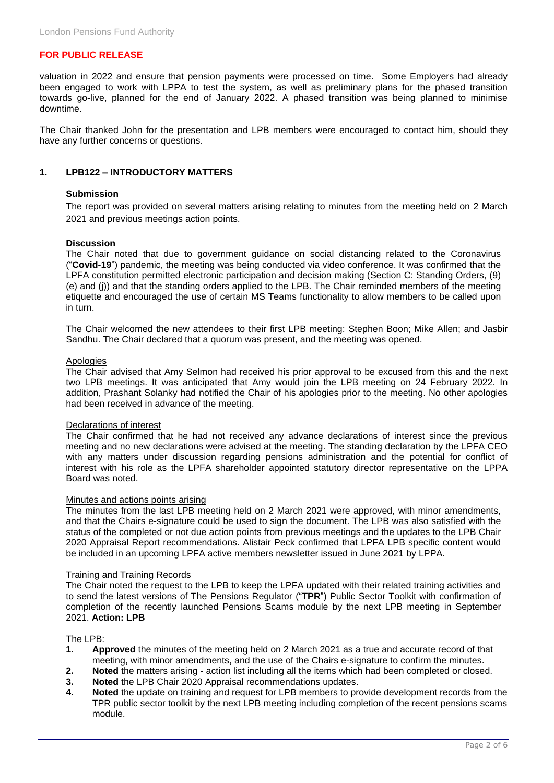valuation in 2022 and ensure that pension payments were processed on time. Some Employers had already been engaged to work with LPPA to test the system, as well as preliminary plans for the phased transition towards go-live, planned for the end of January 2022. A phased transition was being planned to minimise downtime.

The Chair thanked John for the presentation and LPB members were encouraged to contact him, should they have any further concerns or questions.

#### **1. LPB122 – INTRODUCTORY MATTERS**

#### **Submission**

The report was provided on several matters arising relating to minutes from the meeting held on 2 March 2021 and previous meetings action points.

#### **Discussion**

The Chair noted that due to government guidance on social distancing related to the Coronavirus ("**Covid-19**") pandemic, the meeting was being conducted via video conference. It was confirmed that the LPFA constitution permitted electronic participation and decision making (Section C: Standing Orders, (9) (e) and (j)) and that the standing orders applied to the LPB. The Chair reminded members of the meeting etiquette and encouraged the use of certain MS Teams functionality to allow members to be called upon in turn.

The Chair welcomed the new attendees to their first LPB meeting: Stephen Boon; Mike Allen; and Jasbir Sandhu. The Chair declared that a quorum was present, and the meeting was opened.

# Apologies

The Chair advised that Amy Selmon had received his prior approval to be excused from this and the next two LPB meetings. It was anticipated that Amy would join the LPB meeting on 24 February 2022. In addition, Prashant Solanky had notified the Chair of his apologies prior to the meeting. No other apologies had been received in advance of the meeting.

#### Declarations of interest

The Chair confirmed that he had not received any advance declarations of interest since the previous meeting and no new declarations were advised at the meeting. The standing declaration by the LPFA CEO with any matters under discussion regarding pensions administration and the potential for conflict of interest with his role as the LPFA shareholder appointed statutory director representative on the LPPA Board was noted.

#### Minutes and actions points arising

The minutes from the last LPB meeting held on 2 March 2021 were approved, with minor amendments, and that the Chairs e-signature could be used to sign the document. The LPB was also satisfied with the status of the completed or not due action points from previous meetings and the updates to the LPB Chair 2020 Appraisal Report recommendations. Alistair Peck confirmed that LPFA LPB specific content would be included in an upcoming LPFA active members newsletter issued in June 2021 by LPPA.

#### Training and Training Records

The Chair noted the request to the LPB to keep the LPFA updated with their related training activities and to send the latest versions of The Pensions Regulator ("**TPR**") Public Sector Toolkit with confirmation of completion of the recently launched Pensions Scams module by the next LPB meeting in September 2021. **Action: LPB**

#### The LPB:

- **1. Approved** the minutes of the meeting held on 2 March 2021 as a true and accurate record of that meeting, with minor amendments, and the use of the Chairs e-signature to confirm the minutes.
- **2. Noted** the matters arising action list including all the items which had been completed or closed.
- **3. Noted** the LPB Chair 2020 Appraisal recommendations updates.
- **4. Noted** the update on training and request for LPB members to provide development records from the TPR public sector toolkit by the next LPB meeting including completion of the recent pensions scams module.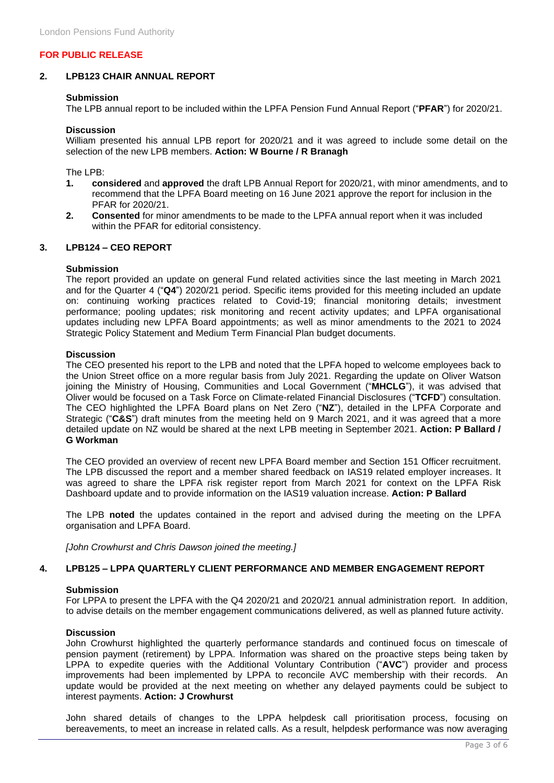# **2. LPB123 CHAIR ANNUAL REPORT**

#### **Submission**

The LPB annual report to be included within the LPFA Pension Fund Annual Report ("**PFAR**") for 2020/21.

#### **Discussion**

William presented his annual LPB report for 2020/21 and it was agreed to include some detail on the selection of the new LPB members. **Action: W Bourne / R Branagh**

The LPB:

- **1. considered** and **approved** the draft LPB Annual Report for 2020/21, with minor amendments, and to recommend that the LPFA Board meeting on 16 June 2021 approve the report for inclusion in the PFAR for 2020/21.
- **2. Consented** for minor amendments to be made to the LPFA annual report when it was included within the PFAR for editorial consistency.

#### **3. LPB124 – CEO REPORT**

#### **Submission**

The report provided an update on general Fund related activities since the last meeting in March 2021 and for the Quarter 4 ("**Q4**") 2020/21 period. Specific items provided for this meeting included an update on: continuing working practices related to Covid-19; financial monitoring details; investment performance; pooling updates; risk monitoring and recent activity updates; and LPFA organisational updates including new LPFA Board appointments; as well as minor amendments to the 2021 to 2024 Strategic Policy Statement and Medium Term Financial Plan budget documents.

#### **Discussion**

The CEO presented his report to the LPB and noted that the LPFA hoped to welcome employees back to the Union Street office on a more regular basis from July 2021. Regarding the update on Oliver Watson joining the Ministry of Housing, Communities and Local Government ("**MHCLG**"), it was advised that Oliver would be focused on a Task Force on Climate-related Financial Disclosures ("**TCFD**") consultation. The CEO highlighted the LPFA Board plans on Net Zero ("**NZ**"), detailed in the LPFA Corporate and Strategic ("**C&S**") draft minutes from the meeting held on 9 March 2021, and it was agreed that a more detailed update on NZ would be shared at the next LPB meeting in September 2021. **Action: P Ballard / G Workman**

The CEO provided an overview of recent new LPFA Board member and Section 151 Officer recruitment. The LPB discussed the report and a member shared feedback on IAS19 related employer increases. It was agreed to share the LPFA risk register report from March 2021 for context on the LPFA Risk Dashboard update and to provide information on the IAS19 valuation increase. **Action: P Ballard**

The LPB **noted** the updates contained in the report and advised during the meeting on the LPFA organisation and LPFA Board.

*[John Crowhurst and Chris Dawson joined the meeting.]*

# **4. LPB125 – LPPA QUARTERLY CLIENT PERFORMANCE AND MEMBER ENGAGEMENT REPORT**

#### **Submission**

For LPPA to present the LPFA with the Q4 2020/21 and 2020/21 annual administration report. In addition, to advise details on the member engagement communications delivered, as well as planned future activity.

#### **Discussion**

John Crowhurst highlighted the quarterly performance standards and continued focus on timescale of pension payment (retirement) by LPPA. Information was shared on the proactive steps being taken by LPPA to expedite queries with the Additional Voluntary Contribution ("**AVC**") provider and process improvements had been implemented by LPPA to reconcile AVC membership with their records. An update would be provided at the next meeting on whether any delayed payments could be subject to interest payments. **Action: J Crowhurst**

John shared details of changes to the LPPA helpdesk call prioritisation process, focusing on bereavements, to meet an increase in related calls. As a result, helpdesk performance was now averaging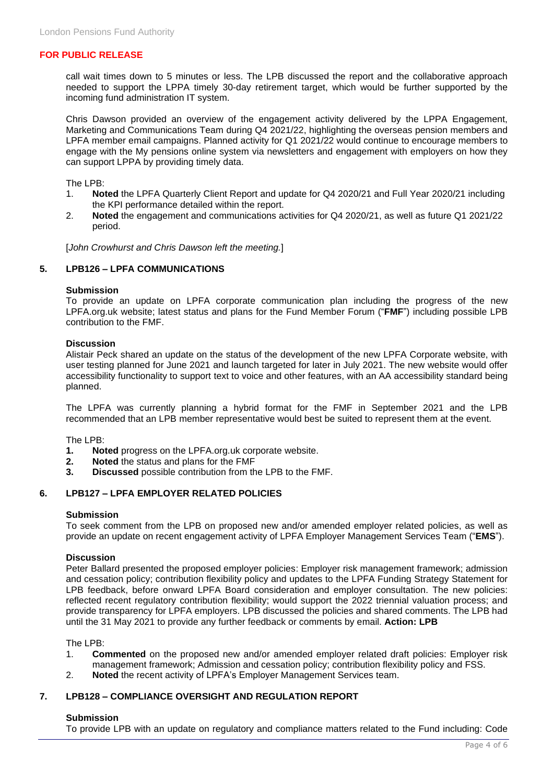call wait times down to 5 minutes or less. The LPB discussed the report and the collaborative approach needed to support the LPPA timely 30-day retirement target, which would be further supported by the incoming fund administration IT system.

Chris Dawson provided an overview of the engagement activity delivered by the LPPA Engagement, Marketing and Communications Team during Q4 2021/22, highlighting the overseas pension members and LPFA member email campaigns. Planned activity for Q1 2021/22 would continue to encourage members to engage with the My pensions online system via newsletters and engagement with employers on how they can support LPPA by providing timely data.

The LPB:

- 1. **Noted** the LPFA Quarterly Client Report and update for Q4 2020/21 and Full Year 2020/21 including the KPI performance detailed within the report.
- 2. **Noted** the engagement and communications activities for Q4 2020/21, as well as future Q1 2021/22 period.

[*John Crowhurst and Chris Dawson left the meeting.*]

# **5. LPB126 – LPFA COMMUNICATIONS**

#### **Submission**

To provide an update on LPFA corporate communication plan including the progress of the new LPFA.org.uk website; latest status and plans for the Fund Member Forum ("**FMF**") including possible LPB contribution to the FMF.

#### **Discussion**

Alistair Peck shared an update on the status of the development of the new LPFA Corporate website, with user testing planned for June 2021 and launch targeted for later in July 2021. The new website would offer accessibility functionality to support text to voice and other features, with an AA accessibility standard being planned.

The LPFA was currently planning a hybrid format for the FMF in September 2021 and the LPB recommended that an LPB member representative would best be suited to represent them at the event.

The LPB:

- **1. Noted** progress on the LPFA.org.uk corporate website.
- **2. Noted** the status and plans for the FMF
- **3. Discussed** possible contribution from the LPB to the FMF.

# **6. LPB127 – LPFA EMPLOYER RELATED POLICIES**

#### **Submission**

To seek comment from the LPB on proposed new and/or amended employer related policies, as well as provide an update on recent engagement activity of LPFA Employer Management Services Team ("**EMS**").

#### **Discussion**

Peter Ballard presented the proposed employer policies: Employer risk management framework; admission and cessation policy; contribution flexibility policy and updates to the LPFA Funding Strategy Statement for LPB feedback, before onward LPFA Board consideration and employer consultation. The new policies: reflected recent regulatory contribution flexibility; would support the 2022 triennial valuation process; and provide transparency for LPFA employers. LPB discussed the policies and shared comments. The LPB had until the 31 May 2021 to provide any further feedback or comments by email. **Action: LPB**

The LPB:

- 1. **Commented** on the proposed new and/or amended employer related draft policies: Employer risk management framework; Admission and cessation policy; contribution flexibility policy and FSS.
- 2. **Noted** the recent activity of LPFA's Employer Management Services team.

# **7. LPB128 – COMPLIANCE OVERSIGHT AND REGULATION REPORT**

#### **Submission**

To provide LPB with an update on regulatory and compliance matters related to the Fund including: Code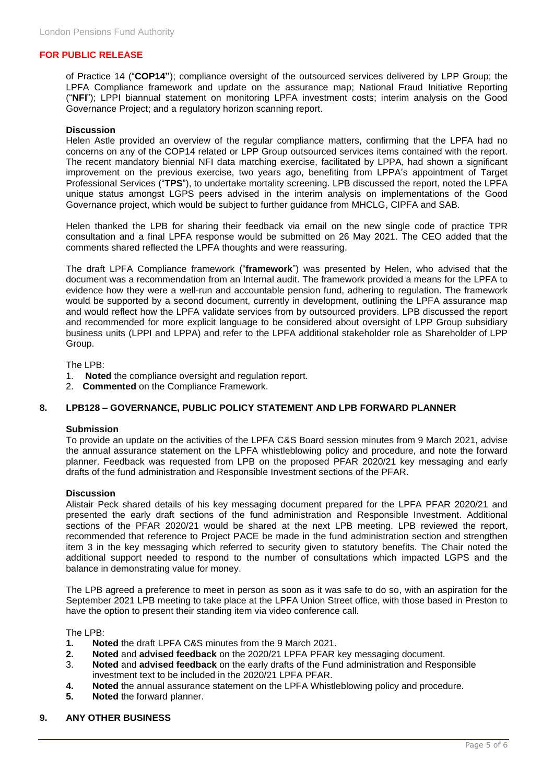of Practice 14 ("**COP14"**); compliance oversight of the outsourced services delivered by LPP Group; the LPFA Compliance framework and update on the assurance map; National Fraud Initiative Reporting ("**NFI**"); LPPI biannual statement on monitoring LPFA investment costs; interim analysis on the Good Governance Project; and a regulatory horizon scanning report.

#### **Discussion**

Helen Astle provided an overview of the regular compliance matters, confirming that the LPFA had no concerns on any of the COP14 related or LPP Group outsourced services items contained with the report. The recent mandatory biennial NFI data matching exercise, facilitated by LPPA, had shown a significant improvement on the previous exercise, two years ago, benefiting from LPPA's appointment of Target Professional Services ("**TPS**"), to undertake mortality screening. LPB discussed the report, noted the LPFA unique status amongst LGPS peers advised in the interim analysis on implementations of the Good Governance project, which would be subject to further guidance from MHCLG, CIPFA and SAB.

Helen thanked the LPB for sharing their feedback via email on the new single code of practice TPR consultation and a final LPFA response would be submitted on 26 May 2021. The CEO added that the comments shared reflected the LPFA thoughts and were reassuring.

The draft LPFA Compliance framework ("**framework**") was presented by Helen, who advised that the document was a recommendation from an Internal audit. The framework provided a means for the LPFA to evidence how they were a well-run and accountable pension fund, adhering to regulation. The framework would be supported by a second document, currently in development, outlining the LPFA assurance map and would reflect how the LPFA validate services from by outsourced providers. LPB discussed the report and recommended for more explicit language to be considered about oversight of LPP Group subsidiary business units (LPPI and LPPA) and refer to the LPFA additional stakeholder role as Shareholder of LPP Group.

The LPB:

- 1. **Noted** the compliance oversight and regulation report.
- 2. **Commented** on the Compliance Framework.

# **8. LPB128 – GOVERNANCE, PUBLIC POLICY STATEMENT AND LPB FORWARD PLANNER**

#### **Submission**

To provide an update on the activities of the LPFA C&S Board session minutes from 9 March 2021, advise the annual assurance statement on the LPFA whistleblowing policy and procedure, and note the forward planner. Feedback was requested from LPB on the proposed PFAR 2020/21 key messaging and early drafts of the fund administration and Responsible Investment sections of the PFAR.

#### **Discussion**

Alistair Peck shared details of his key messaging document prepared for the LPFA PFAR 2020/21 and presented the early draft sections of the fund administration and Responsible Investment. Additional sections of the PFAR 2020/21 would be shared at the next LPB meeting. LPB reviewed the report, recommended that reference to Project PACE be made in the fund administration section and strengthen item 3 in the key messaging which referred to security given to statutory benefits. The Chair noted the additional support needed to respond to the number of consultations which impacted LGPS and the balance in demonstrating value for money.

The LPB agreed a preference to meet in person as soon as it was safe to do so, with an aspiration for the September 2021 LPB meeting to take place at the LPFA Union Street office, with those based in Preston to have the option to present their standing item via video conference call.

The LPB:

- **1. Noted** the draft LPFA C&S minutes from the 9 March 2021.
- **2. Noted** and **advised feedback** on the 2020/21 LPFA PFAR key messaging document.
- 3. **Noted** and **advised feedback** on the early drafts of the Fund administration and Responsible investment text to be included in the 2020/21 LPFA PFAR.
- **4. Noted** the annual assurance statement on the LPFA Whistleblowing policy and procedure.
- **5. Noted** the forward planner.

#### **9. ANY OTHER BUSINESS**